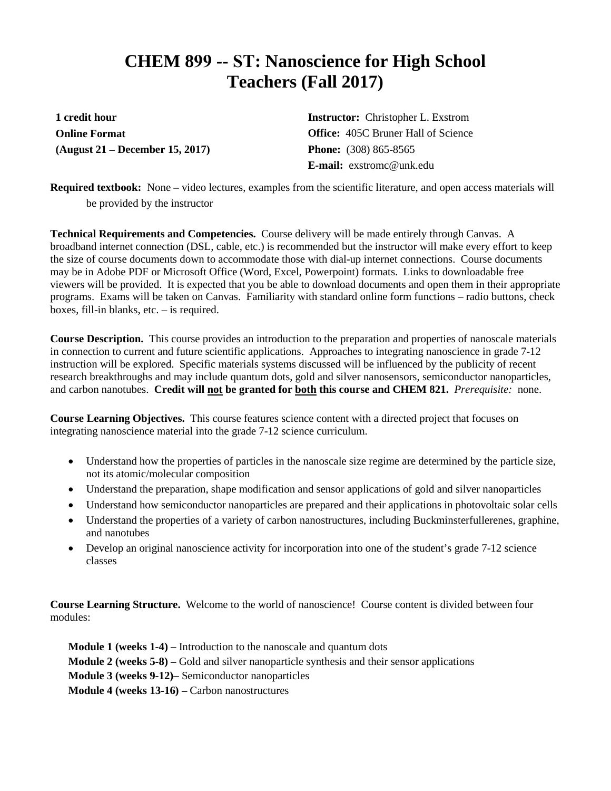## **CHEM 899 -- ST: Nanoscience for High School Teachers (Fall 2017)**

**1 credit hour Online Format (August 21 – December 15, 2017)**

**Instructor:** Christopher L. Exstrom **Office:** 405C Bruner Hall of Science **Phone:** (308) 865-8565 **E-mail:** exstromc@unk.edu

**Required textbook:** None – video lectures, examples from the scientific literature, and open access materials will be provided by the instructor

**Technical Requirements and Competencies.** Course delivery will be made entirely through Canvas. A broadband internet connection (DSL, cable, etc.) is recommended but the instructor will make every effort to keep the size of course documents down to accommodate those with dial-up internet connections. Course documents may be in Adobe PDF or Microsoft Office (Word, Excel, Powerpoint) formats. Links to downloadable free viewers will be provided. It is expected that you be able to download documents and open them in their appropriate programs. Exams will be taken on Canvas. Familiarity with standard online form functions – radio buttons, check boxes, fill-in blanks, etc. – is required.

**Course Description.** This course provides an introduction to the preparation and properties of nanoscale materials in connection to current and future scientific applications. Approaches to integrating nanoscience in grade 7-12 instruction will be explored. Specific materials systems discussed will be influenced by the publicity of recent research breakthroughs and may include quantum dots, gold and silver nanosensors, semiconductor nanoparticles, and carbon nanotubes. **Credit will not be granted for both this course and CHEM 821.** *Prerequisite:* none.

**Course Learning Objectives.** This course features science content with a directed project that focuses on integrating nanoscience material into the grade 7-12 science curriculum.

- Understand how the properties of particles in the nanoscale size regime are determined by the particle size, not its atomic/molecular composition
- Understand the preparation, shape modification and sensor applications of gold and silver nanoparticles
- Understand how semiconductor nanoparticles are prepared and their applications in photovoltaic solar cells
- Understand the properties of a variety of carbon nanostructures, including Buckminsterfullerenes, graphine, and nanotubes
- Develop an original nanoscience activity for incorporation into one of the student's grade 7-12 science classes

**Course Learning Structure.** Welcome to the world of nanoscience! Course content is divided between four modules:

**Module 1 (weeks 1-4) –** Introduction to the nanoscale and quantum dots **Module 2 (weeks 5-8) –** Gold and silver nanoparticle synthesis and their sensor applications **Module 3 (weeks 9-12)–** Semiconductor nanoparticles **Module 4 (weeks 13-16) –** Carbon nanostructures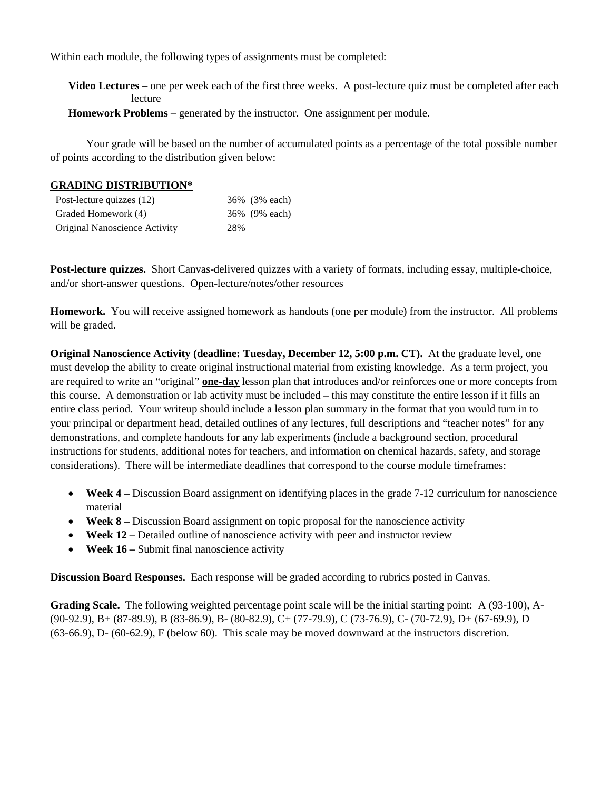Within each module, the following types of assignments must be completed:

**Video Lectures** – one per week each of the first three weeks. A post-lecture quiz must be completed after each lecture

**Homework Problems** – generated by the instructor. One assignment per module.

Your grade will be based on the number of accumulated points as a percentage of the total possible number of points according to the distribution given below:

## **GRADING DISTRIBUTION\***

| Post-lecture quizzes (12)     |     | 36% (3% each) |
|-------------------------------|-----|---------------|
| Graded Homework (4)           |     | 36% (9% each) |
| Original Nanoscience Activity | 28% |               |

**Post-lecture quizzes.** Short Canvas-delivered quizzes with a variety of formats, including essay, multiple-choice, and/or short-answer questions. Open-lecture/notes/other resources

**Homework.** You will receive assigned homework as handouts (one per module) from the instructor. All problems will be graded.

**Original Nanoscience Activity (deadline: Tuesday, December 12, 5:00 p.m. CT).** At the graduate level, one must develop the ability to create original instructional material from existing knowledge. As a term project, you are required to write an "original" **one-day** lesson plan that introduces and/or reinforces one or more concepts from this course. A demonstration or lab activity must be included – this may constitute the entire lesson if it fills an entire class period. Your writeup should include a lesson plan summary in the format that you would turn in to your principal or department head, detailed outlines of any lectures, full descriptions and "teacher notes" for any demonstrations, and complete handouts for any lab experiments (include a background section, procedural instructions for students, additional notes for teachers, and information on chemical hazards, safety, and storage considerations). There will be intermediate deadlines that correspond to the course module timeframes:

- **Week 4** Discussion Board assignment on identifying places in the grade 7-12 curriculum for nanoscience material
- **Week 8** Discussion Board assignment on topic proposal for the nanoscience activity
- **Week 12** Detailed outline of nanoscience activity with peer and instructor review
- **Week 16** Submit final nanoscience activity

**Discussion Board Responses.** Each response will be graded according to rubrics posted in Canvas.

**Grading Scale.** The following weighted percentage point scale will be the initial starting point: A (93-100), A- (90-92.9), B+ (87-89.9), B (83-86.9), B- (80-82.9), C+ (77-79.9), C (73-76.9), C- (70-72.9), D+ (67-69.9), D (63-66.9), D- (60-62.9), F (below 60). This scale may be moved downward at the instructors discretion.